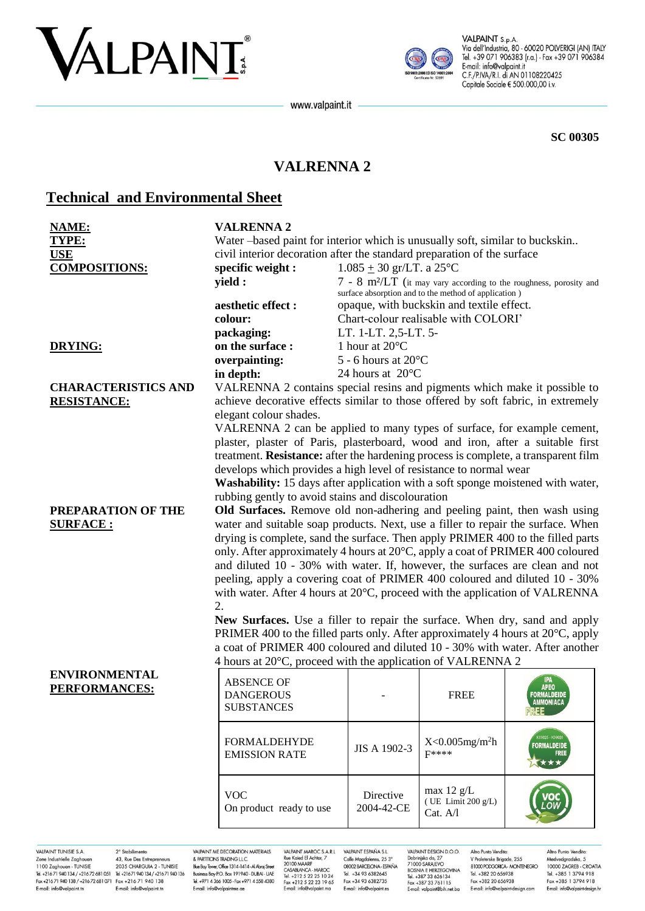# VALPAINT



VALPAINT S.p.A. Via dell'Industria, 80 - 60020 POLVERIGI (AN) ITALY Tel. +39 071 906383 (r.a.) - Fax +39 071 906384 E-mail: info@valpaint.it C.F./P.IVA/R.I. di AN 01108220425 Capitale Sociale € 500.000,00 i.v.

**SC 00305**

## **VALRENNA 2**

www.valpaint.it

## **Technical and Environmental Sheet**

| <b>NAME:</b><br><b>TYPE:</b><br><b>USE</b><br><b>COMPOSITIONS:</b>                                                                                                                                       | <b>VALRENNA 2</b><br>Water-based paint for interior which is unusually soft, similar to buckskin<br>civil interior decoration after the standard preparation of the surface<br>$1.085 \pm 30$ gr/LT. a 25°C<br>specific weight :<br>yield :<br>$7 - 8$ m <sup>2</sup> /LT (it may vary according to the roughness, porosity and                                                                                                                                                                                                                                                                                                                                                                                                                                                                                                       |                                                                     |                                                                                                                                           |                                                      |  |
|----------------------------------------------------------------------------------------------------------------------------------------------------------------------------------------------------------|---------------------------------------------------------------------------------------------------------------------------------------------------------------------------------------------------------------------------------------------------------------------------------------------------------------------------------------------------------------------------------------------------------------------------------------------------------------------------------------------------------------------------------------------------------------------------------------------------------------------------------------------------------------------------------------------------------------------------------------------------------------------------------------------------------------------------------------|---------------------------------------------------------------------|-------------------------------------------------------------------------------------------------------------------------------------------|------------------------------------------------------|--|
|                                                                                                                                                                                                          | aesthetic effect :<br>colour:<br>packaging:                                                                                                                                                                                                                                                                                                                                                                                                                                                                                                                                                                                                                                                                                                                                                                                           | LT. 1-LT. 2,5-LT. 5-                                                | surface absorption and to the method of application)<br>opaque, with buckskin and textile effect.<br>Chart-colour realisable with COLORI' |                                                      |  |
| <b>DRYING:</b>                                                                                                                                                                                           | on the surface :<br>overpainting:<br>in depth:                                                                                                                                                                                                                                                                                                                                                                                                                                                                                                                                                                                                                                                                                                                                                                                        | 1 hour at 20°C<br>5 - 6 hours at $20^{\circ}$ C<br>24 hours at 20°C |                                                                                                                                           |                                                      |  |
| <b>CHARACTERISTICS AND</b><br><b>RESISTANCE:</b>                                                                                                                                                         | VALRENNA 2 contains special resins and pigments which make it possible to<br>achieve decorative effects similar to those offered by soft fabric, in extremely<br>elegant colour shades.<br>VALRENNA 2 can be applied to many types of surface, for example cement,<br>plaster, plaster of Paris, plasterboard, wood and iron, after a suitable first<br>treatment. Resistance: after the hardening process is complete, a transparent film<br>develops which provides a high level of resistance to normal wear<br><b>Washability:</b> 15 days after application with a soft sponge moistened with water,<br>rubbing gently to avoid stains and discolouration                                                                                                                                                                        |                                                                     |                                                                                                                                           |                                                      |  |
| PREPARATION OF THE<br><b>SURFACE:</b>                                                                                                                                                                    | Old Surfaces. Remove old non-adhering and peeling paint, then wash using<br>water and suitable soap products. Next, use a filler to repair the surface. When<br>drying is complete, sand the surface. Then apply PRIMER 400 to the filled parts<br>only. After approximately 4 hours at 20°C, apply a coat of PRIMER 400 coloured<br>and diluted 10 - 30% with water. If, however, the surfaces are clean and not<br>peeling, apply a covering coat of PRIMER 400 coloured and diluted 10 - 30%<br>with water. After 4 hours at 20°C, proceed with the application of VALRENNA<br>2.<br>New Surfaces. Use a filler to repair the surface. When dry, sand and apply<br>PRIMER 400 to the filled parts only. After approximately 4 hours at 20°C, apply<br>a coat of PRIMER 400 coloured and diluted 10 - 30% with water. After another |                                                                     |                                                                                                                                           |                                                      |  |
| <b>ENVIRONMENTAL</b><br>PERFORMANCES:                                                                                                                                                                    | 4 hours at 20°C, proceed with the application of VALRENNA 2<br><b>ABSENCE OF</b><br><b>DANGEROUS</b><br><b>SUBSTANCES</b>                                                                                                                                                                                                                                                                                                                                                                                                                                                                                                                                                                                                                                                                                                             |                                                                     | <b>FREE</b>                                                                                                                               | IPA<br>Apeo<br><b>FORMALDEIDE</b><br>AMMONIACA       |  |
|                                                                                                                                                                                                          | <b>FORMALDEHYDE</b><br><b>EMISSION RATE</b>                                                                                                                                                                                                                                                                                                                                                                                                                                                                                                                                                                                                                                                                                                                                                                                           | JIS A 1902-3                                                        | $X < 0.005$ mg/m <sup>2</sup> h<br><b>F****</b>                                                                                           | (09025 - K09026<br>FORMALDEIDE<br><b>FREE</b><br>★★★ |  |
|                                                                                                                                                                                                          | <b>VOC</b><br>On product ready to use                                                                                                                                                                                                                                                                                                                                                                                                                                                                                                                                                                                                                                                                                                                                                                                                 | Directive<br>2004-42-CE                                             | max $12 \text{ g/L}$<br>(UE Limit $200 g/L$ )<br>Cat. A/l                                                                                 |                                                      |  |
| <b>AINT TUNISIE S.A.</b><br>2º Stabilimento<br>VAIPAINT ME DECORATION MATERIALS<br>VAIPAINT MARCIC S A R L VAIPAINT ESPAÑA S L<br>VAIPAINT DESIGN D.O.O.<br>Altro Punto Vendita:<br>Altro Punto Vendita: |                                                                                                                                                                                                                                                                                                                                                                                                                                                                                                                                                                                                                                                                                                                                                                                                                                       |                                                                     |                                                                                                                                           |                                                      |  |

VALPAINT TUNISIE S.A. Zone Industrielle Zaghouan<br>1100 Zaghouan - TUNISIE Tel +216.71.940.134 / +216.72.681.051 Tel +216.71.940.134 / +216.71.940.136 Fax +21671 940 138 / +21672 681 071 Fax +216 71 940 138 E-mail: info@valpaint.tn

2° Stabilimento 2<br>43, Rue Des Entrepreneurs<br>2035 CHARGUIA 2 - TUNISIE F-mail: info@valpaint to

VALPAINT ME DECORATION MATERIALS & PARTITIONS TRADING LLC.<br>Blue Bay Tower, Office 1314-1414-Al Abraj Street Business Boy PO, Box 191940 - DUBAL-UAF Tel. +971 4 366 1005 - Fax +971 4 558 4380 E-mail: info@valpaintme.ae

VALPAINT MAROC S.A.R.L<br>Rue Kaied El Achtar, 7<br>20100 MAARIF<br>CASABLANCA - MAROC<br>Tel. +212 5 22 25 10 24<br>Fax +212 5 22 23 19 65<br>E-mail: info@valpaint.ma Calle Magdalenes, 25 3°<br>08002 BARCELONA - ESPAÑA Tel +34 93 6382645 Fax +34 93 6382735 E-mail: info@valpaint es

VALPAINT DESIGN D.O.O. VALPAINT DESIGN D.O.O.<br>Dobrinjka do, 27<br>71000 SARAJEVO<br>BOSNIA E HERZEGOVINA<br>Tel. +387 33 626134<br>Fax +387 33 761115 E-mail: valpaint@bih.net.ba

Altro Punto Vendita: V Proleterske Brigade, 255<br>81000 PODGORICA - MONTENEGRO Tel +382 20 656938 Fax +382 20 656938 E-mail: info@valpaint-design.com

Altro Punto Vendita: Medvedgradska, 5<br>Nedvedgradska, 5<br>10000 ZAGREB - CROATIA Tel +385 1 3794 918 Fax +385 1 3794 918 E-mail: info@valpaint-design.hr